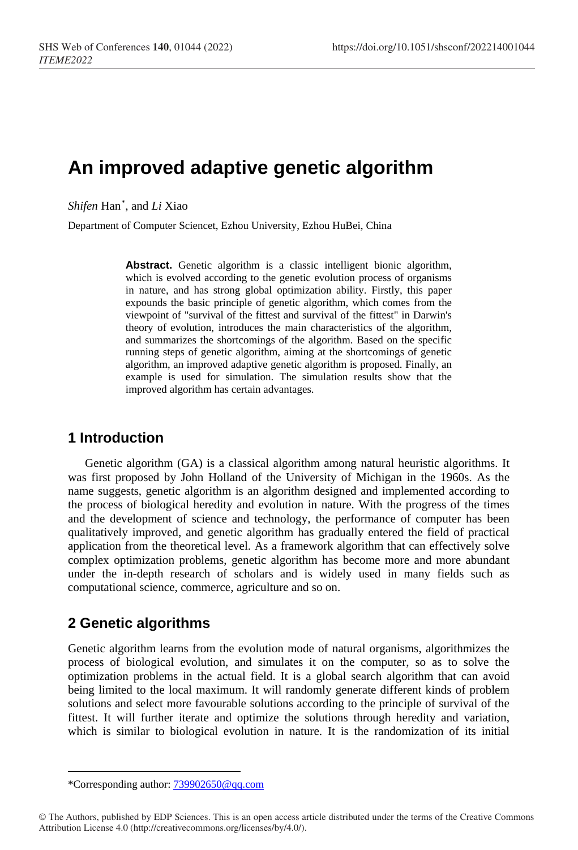# **An improved adaptive genetic algorithm**

*Shifen* Han[\\*](#page-0-0) , and *Li* Xiao

Department of Computer Sciencet, Ezhou University, Ezhou HuBei, China

**Abstract.** Genetic algorithm is a classic intelligent bionic algorithm, which is evolved according to the genetic evolution process of organisms in nature, and has strong global optimization ability. Firstly, this paper expounds the basic principle of genetic algorithm, which comes from the viewpoint of "survival of the fittest and survival of the fittest" in Darwin's theory of evolution, introduces the main characteristics of the algorithm, and summarizes the shortcomings of the algorithm. Based on the specific running steps of genetic algorithm, aiming at the shortcomings of genetic algorithm, an improved adaptive genetic algorithm is proposed. Finally, an example is used for simulation. The simulation results show that the improved algorithm has certain advantages.

### **1 Introduction**

Genetic algorithm (GA) is a classical algorithm among natural heuristic algorithms. It was first proposed by John Holland of the University of Michigan in the 1960s. As the name suggests, genetic algorithm is an algorithm designed and implemented according to the process of biological heredity and evolution in nature. With the progress of the times and the development of science and technology, the performance of computer has been qualitatively improved, and genetic algorithm has gradually entered the field of practical application from the theoretical level. As a framework algorithm that can effectively solve complex optimization problems, genetic algorithm has become more and more abundant under the in-depth research of scholars and is widely used in many fields such as computational science, commerce, agriculture and so on.

### **2 Genetic algorithms**

 $\overline{a}$ 

Genetic algorithm learns from the evolution mode of natural organisms, algorithmizes the process of biological evolution, and simulates it on the computer, so as to solve the optimization problems in the actual field. It is a global search algorithm that can avoid being limited to the local maximum. It will randomly generate different kinds of problem solutions and select more favourable solutions according to the principle of survival of the fittest. It will further iterate and optimize the solutions through heredity and variation, which is similar to biological evolution in nature. It is the randomization of its initial

<sup>\*</sup>Corresponding author[: 739902650@qq.com](mailto:739902650@qq.com)

<span id="page-0-0"></span><sup>©</sup> The Authors, published by EDP Sciences. This is an open access article distributed under the terms of the Creative Commons Attribution License 4.0 (http://creativecommons.org/licenses/by/4.0/).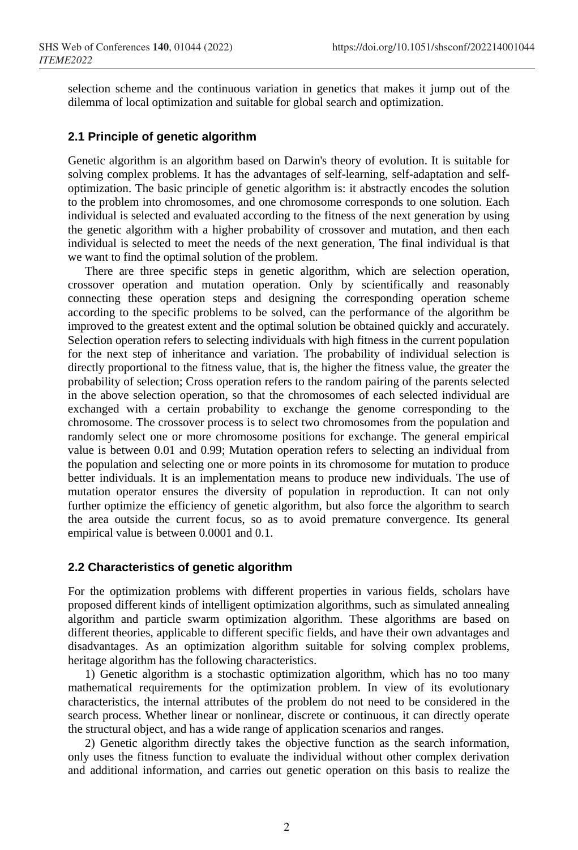selection scheme and the continuous variation in genetics that makes it jump out of the dilemma of local optimization and suitable for global search and optimization.

#### **2.1 Principle of genetic algorithm**

Genetic algorithm is an algorithm based on Darwin's theory of evolution. It is suitable for solving complex problems. It has the advantages of self-learning, self-adaptation and selfoptimization. The basic principle of genetic algorithm is: it abstractly encodes the solution to the problem into chromosomes, and one chromosome corresponds to one solution. Each individual is selected and evaluated according to the fitness of the next generation by using the genetic algorithm with a higher probability of crossover and mutation, and then each individual is selected to meet the needs of the next generation, The final individual is that we want to find the optimal solution of the problem.

There are three specific steps in genetic algorithm, which are selection operation, crossover operation and mutation operation. Only by scientifically and reasonably connecting these operation steps and designing the corresponding operation scheme according to the specific problems to be solved, can the performance of the algorithm be improved to the greatest extent and the optimal solution be obtained quickly and accurately. Selection operation refers to selecting individuals with high fitness in the current population for the next step of inheritance and variation. The probability of individual selection is directly proportional to the fitness value, that is, the higher the fitness value, the greater the probability of selection; Cross operation refers to the random pairing of the parents selected in the above selection operation, so that the chromosomes of each selected individual are exchanged with a certain probability to exchange the genome corresponding to the chromosome. The crossover process is to select two chromosomes from the population and randomly select one or more chromosome positions for exchange. The general empirical value is between 0.01 and 0.99; Mutation operation refers to selecting an individual from the population and selecting one or more points in its chromosome for mutation to produce better individuals. It is an implementation means to produce new individuals. The use of mutation operator ensures the diversity of population in reproduction. It can not only further optimize the efficiency of genetic algorithm, but also force the algorithm to search the area outside the current focus, so as to avoid premature convergence. Its general empirical value is between 0.0001 and 0.1.

#### **2.2 Characteristics of genetic algorithm**

For the optimization problems with different properties in various fields, scholars have proposed different kinds of intelligent optimization algorithms, such as simulated annealing algorithm and particle swarm optimization algorithm. These algorithms are based on different theories, applicable to different specific fields, and have their own advantages and disadvantages. As an optimization algorithm suitable for solving complex problems, heritage algorithm has the following characteristics.

1) Genetic algorithm is a stochastic optimization algorithm, which has no too many mathematical requirements for the optimization problem. In view of its evolutionary characteristics, the internal attributes of the problem do not need to be considered in the search process. Whether linear or nonlinear, discrete or continuous, it can directly operate the structural object, and has a wide range of application scenarios and ranges.

2) Genetic algorithm directly takes the objective function as the search information, only uses the fitness function to evaluate the individual without other complex derivation and additional information, and carries out genetic operation on this basis to realize the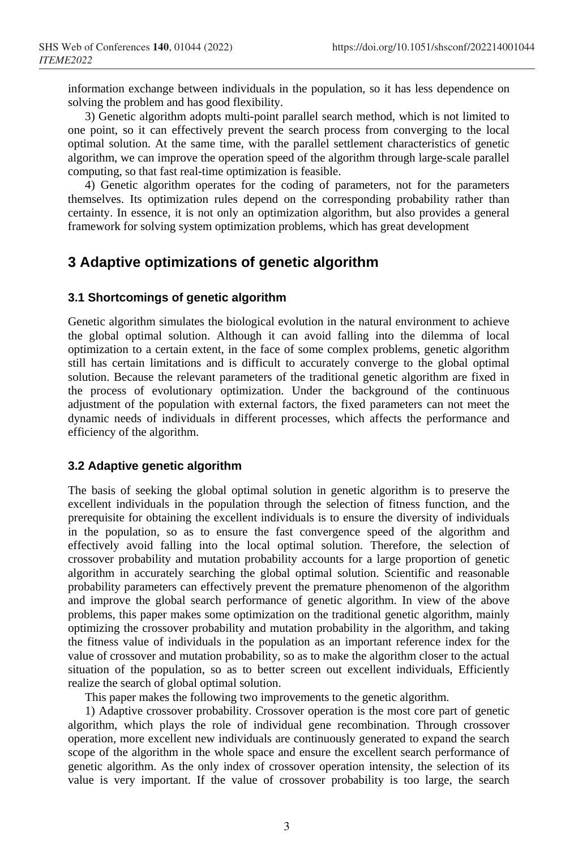information exchange between individuals in the population, so it has less dependence on solving the problem and has good flexibility.

3) Genetic algorithm adopts multi-point parallel search method, which is not limited to one point, so it can effectively prevent the search process from converging to the local optimal solution. At the same time, with the parallel settlement characteristics of genetic algorithm, we can improve the operation speed of the algorithm through large-scale parallel computing, so that fast real-time optimization is feasible.

4) Genetic algorithm operates for the coding of parameters, not for the parameters themselves. Its optimization rules depend on the corresponding probability rather than certainty. In essence, it is not only an optimization algorithm, but also provides a general framework for solving system optimization problems, which has great development

# **3 Adaptive optimizations of genetic algorithm**

#### **3.1 Shortcomings of genetic algorithm**

Genetic algorithm simulates the biological evolution in the natural environment to achieve the global optimal solution. Although it can avoid falling into the dilemma of local optimization to a certain extent, in the face of some complex problems, genetic algorithm still has certain limitations and is difficult to accurately converge to the global optimal solution. Because the relevant parameters of the traditional genetic algorithm are fixed in the process of evolutionary optimization. Under the background of the continuous adjustment of the population with external factors, the fixed parameters can not meet the dynamic needs of individuals in different processes, which affects the performance and efficiency of the algorithm.

#### **3.2 Adaptive genetic algorithm**

The basis of seeking the global optimal solution in genetic algorithm is to preserve the excellent individuals in the population through the selection of fitness function, and the prerequisite for obtaining the excellent individuals is to ensure the diversity of individuals in the population, so as to ensure the fast convergence speed of the algorithm and effectively avoid falling into the local optimal solution. Therefore, the selection of crossover probability and mutation probability accounts for a large proportion of genetic algorithm in accurately searching the global optimal solution. Scientific and reasonable probability parameters can effectively prevent the premature phenomenon of the algorithm and improve the global search performance of genetic algorithm. In view of the above problems, this paper makes some optimization on the traditional genetic algorithm, mainly optimizing the crossover probability and mutation probability in the algorithm, and taking the fitness value of individuals in the population as an important reference index for the value of crossover and mutation probability, so as to make the algorithm closer to the actual situation of the population, so as to better screen out excellent individuals, Efficiently realize the search of global optimal solution.

This paper makes the following two improvements to the genetic algorithm.

1) Adaptive crossover probability. Crossover operation is the most core part of genetic algorithm, which plays the role of individual gene recombination. Through crossover operation, more excellent new individuals are continuously generated to expand the search scope of the algorithm in the whole space and ensure the excellent search performance of genetic algorithm. As the only index of crossover operation intensity, the selection of its value is very important. If the value of crossover probability is too large, the search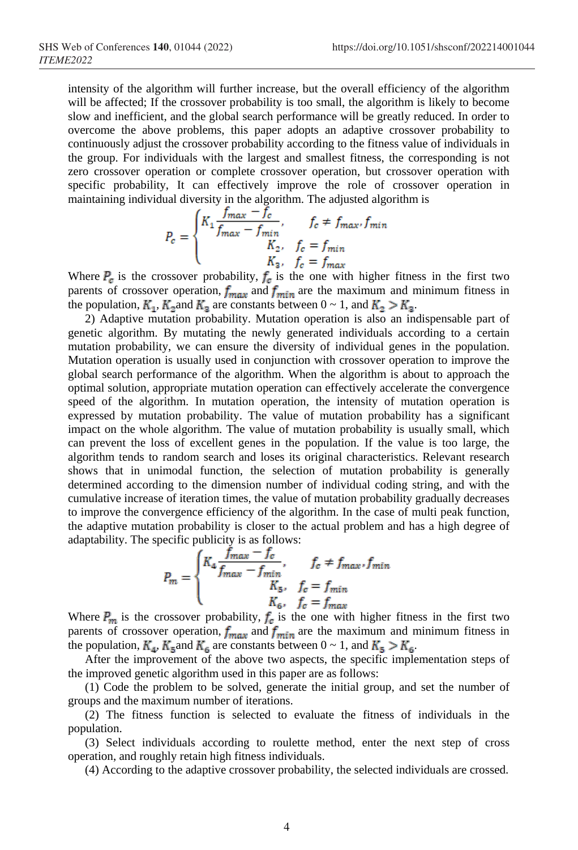intensity of the algorithm will further increase, but the overall efficiency of the algorithm will be affected; If the crossover probability is too small, the algorithm is likely to become slow and inefficient, and the global search performance will be greatly reduced. In order to overcome the above problems, this paper adopts an adaptive crossover probability to continuously adjust the crossover probability according to the fitness value of individuals in the group. For individuals with the largest and smallest fitness, the corresponding is not zero crossover operation or complete crossover operation, but crossover operation with specific probability, It can effectively improve the role of crossover operation in maintaining individual diversity in the algorithm. The adjusted algorithm is

$$
P_c = \begin{cases} K_1 \frac{f_{max} - f_c}{f_{max} - f_{min}}, & f_c \neq f_{max}, f_{min} \\ K_2, & f_c = f_{min} \\ K_3, & f_c = f_{max} \end{cases}
$$

Where  $P_{\sigma}$  is the crossover probability,  $f_{\sigma}$  is the one with higher fitness in the first two parents of crossover operation,  $f_{\text{max}}$  and  $f_{\text{min}}$  are the maximum and minimum fitness in the population,  $K_1$ ,  $K_2$  and  $K_3$  are constants between  $0 \sim 1$ , and  $K_2 > K_3$ .

2) Adaptive mutation probability. Mutation operation is also an indispensable part of genetic algorithm. By mutating the newly generated individuals according to a certain mutation probability, we can ensure the diversity of individual genes in the population. Mutation operation is usually used in conjunction with crossover operation to improve the global search performance of the algorithm. When the algorithm is about to approach the optimal solution, appropriate mutation operation can effectively accelerate the convergence speed of the algorithm. In mutation operation, the intensity of mutation operation is expressed by mutation probability. The value of mutation probability has a significant impact on the whole algorithm. The value of mutation probability is usually small, which can prevent the loss of excellent genes in the population. If the value is too large, the algorithm tends to random search and loses its original characteristics. Relevant research shows that in unimodal function, the selection of mutation probability is generally determined according to the dimension number of individual coding string, and with the cumulative increase of iteration times, the value of mutation probability gradually decreases to improve the convergence efficiency of the algorithm. In the case of multi peak function, the adaptive mutation probability is closer to the actual problem and has a high degree of adaptability. The specific publicity is as follows:

$$
P_m = \begin{cases} K_4 \frac{f_{max} - f_c}{f_{max} - f_{min}}, & f_c \neq f_{max}, f_{min} \\ K_5, & f_c = f_{min} \\ K_6, & f_c = f_{max} \end{cases}
$$

Where  $P_m$  is the crossover probability,  $f_e$  is the one with higher fitness in the first two parents of crossover operation,  $f_{\text{max}}$  and  $f_{\text{min}}$  are the maximum and minimum fitness in the population,  $K_{\underline{a}}$ ,  $K_{\underline{a}}$  and  $K_{\underline{a}}$  are constants between  $0 \sim 1$ , and  $K_{\underline{a}} > K_{\underline{a}}$ .

After the improvement of the above two aspects, the specific implementation steps of the improved genetic algorithm used in this paper are as follows:

(1) Code the problem to be solved, generate the initial group, and set the number of groups and the maximum number of iterations.

(2) The fitness function is selected to evaluate the fitness of individuals in the population.

(3) Select individuals according to roulette method, enter the next step of cross operation, and roughly retain high fitness individuals.

(4) According to the adaptive crossover probability, the selected individuals are crossed.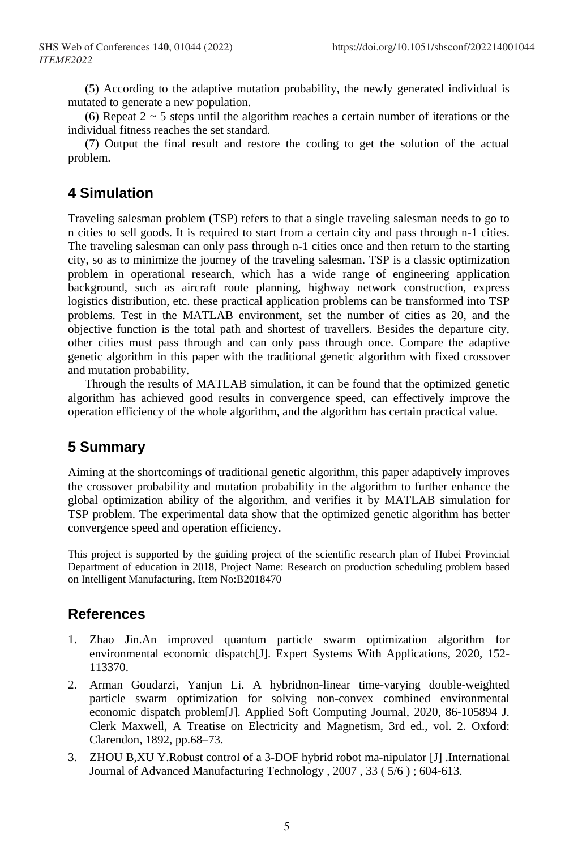(5) According to the adaptive mutation probability, the newly generated individual is mutated to generate a new population.

(6) Repeat  $2 \sim 5$  steps until the algorithm reaches a certain number of iterations or the individual fitness reaches the set standard.

(7) Output the final result and restore the coding to get the solution of the actual problem.

## **4 Simulation**

Traveling salesman problem (TSP) refers to that a single traveling salesman needs to go to n cities to sell goods. It is required to start from a certain city and pass through n-1 cities. The traveling salesman can only pass through n-1 cities once and then return to the starting city, so as to minimize the journey of the traveling salesman. TSP is a classic optimization problem in operational research, which has a wide range of engineering application background, such as aircraft route planning, highway network construction, express logistics distribution, etc. these practical application problems can be transformed into TSP problems. Test in the MATLAB environment, set the number of cities as 20, and the objective function is the total path and shortest of travellers. Besides the departure city, other cities must pass through and can only pass through once. Compare the adaptive genetic algorithm in this paper with the traditional genetic algorithm with fixed crossover and mutation probability.

Through the results of MATLAB simulation, it can be found that the optimized genetic algorithm has achieved good results in convergence speed, can effectively improve the operation efficiency of the whole algorithm, and the algorithm has certain practical value.

### **5 Summary**

Aiming at the shortcomings of traditional genetic algorithm, this paper adaptively improves the crossover probability and mutation probability in the algorithm to further enhance the global optimization ability of the algorithm, and verifies it by MATLAB simulation for TSP problem. The experimental data show that the optimized genetic algorithm has better convergence speed and operation efficiency.

This project is supported by the guiding project of the scientific research plan of Hubei Provincial Department of education in 2018, Project Name: Research on production scheduling problem based on Intelligent Manufacturing, Item No:B2018470

#### **References**

- 1. Zhao Jin.An improved quantum particle swarm optimization algorithm for environmental economic dispatch[J]. Expert Systems With Applications, 2020, 152- 113370.
- 2. Arman Goudarzi, Yanjun Li. A hybridnon-linear time-varying double-weighted particle swarm optimization for solving non-convex combined environmental economic dispatch problem[J]. Applied Soft Computing Journal, 2020, 86-105894 J. Clerk Maxwell, A Treatise on Electricity and Magnetism, 3rd ed., vol. 2. Oxford: Clarendon, 1892, pp.68–73.
- 3. ZHOU B,XU Y.Robust control of a 3-DOF hybrid robot ma-nipulator [J] .International Journal of Advanced Manufacturing Technology , 2007 , 33 ( 5/6 ) ; 604-613.